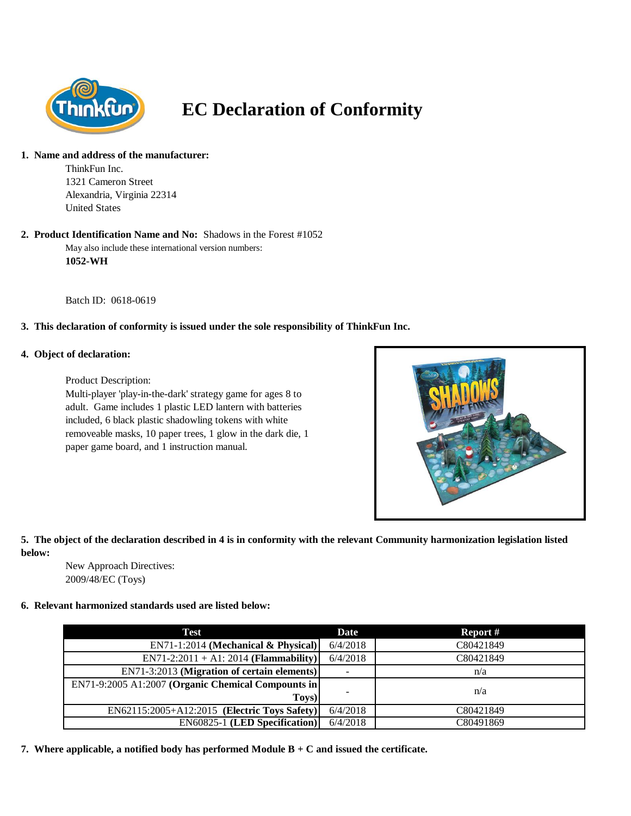

# **EC Declaration of Conformity**

#### **1. Name and address of the manufacturer:**

ThinkFun Inc. 1321 Cameron Street Alexandria, Virginia 22314 United States

### **2. Product Identification Name and No:** Shadows in the Forest #1052

May also include these international version numbers: **1052-WH**

Batch ID: 0618-0619

# **3. This declaration of conformity is issued under the sole responsibility of ThinkFun Inc.**

### **4. Object of declaration:**

Product Description:

Multi-player 'play-in-the-dark' strategy game for ages 8 to adult. Game includes 1 plastic LED lantern with batteries included, 6 black plastic shadowling tokens with white removeable masks, 10 paper trees, 1 glow in the dark die, 1 paper game board, and 1 instruction manual.



### **5. The object of the declaration described in 4 is in conformity with the relevant Community harmonization legislation listed below:**

New Approach Directives: 2009/48/EC (Toys)

### **6. Relevant harmonized standards used are listed below:**

| Test                                               | Date                     | Report #  |
|----------------------------------------------------|--------------------------|-----------|
| $EN71-1:2014$ (Mechanical & Physical)              | 6/4/2018                 | C80421849 |
| $EN71-2:2011 + A1:2014 (Flammaibility)$            | 6/4/2018                 | C80421849 |
| EN71-3:2013 (Migration of certain elements)        | $\overline{\phantom{a}}$ | n/a       |
| EN71-9:2005 A1:2007 (Organic Chemical Compounts in |                          | n/a       |
| Toys)                                              | $\overline{\phantom{0}}$ |           |
| EN62115:2005+A12:2015 (Electric Toys Safety)       | 6/4/2018                 | C80421849 |
| <b>EN60825-1 (LED Specification)</b>               | 6/4/2018                 | C80491869 |

**7. Where applicable, a notified body has performed Module B + C and issued the certificate.**